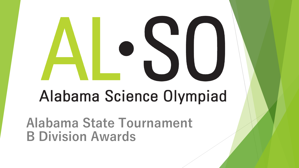# Alabama Science Olympiad

**Alabama State Tournament B Division Awards**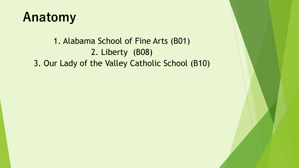#### **Anatomy**

1. Alabama School of Fine Arts (B01) 2. Liberty (B08) 3. Our Lady of the Valley Catholic School (B10)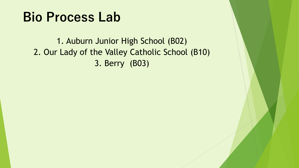#### **Bio Process Lab**

1. Auburn Junior High School (B02) 2. Our Lady of the Valley Catholic School (B10) 3. Berry (B03)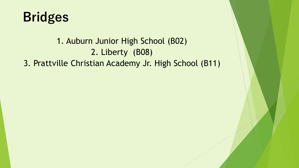

#### 1. Auburn Junior High School (B02) 2. Liberty (B08) 3. Prattville Christian Academy Jr. High School (B11)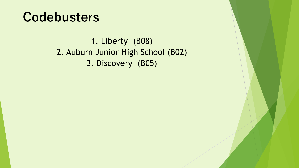#### **Codebusters**

1. Liberty (B08) 2. Auburn Junior High School (B02) 3. Discovery (B05)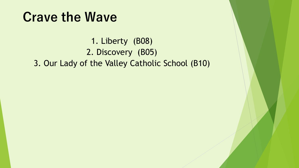#### **Crave the Wave**

1. Liberty (B08) 2. Discovery (B05) 3. Our Lady of the Valley Catholic School (B10)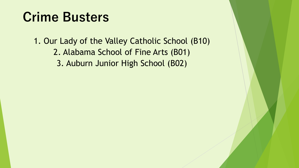#### **Crime Busters**

1. Our Lady of the Valley Catholic School (B10) 2. Alabama School of Fine Arts (B01) 3. Auburn Junior High School (B02)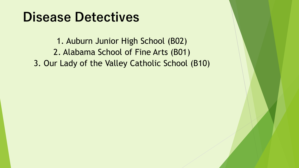#### **Disease Detectives**

1. Auburn Junior High School (B02) 2. Alabama School of Fine Arts (B01) 3. Our Lady of the Valley Catholic School (B10)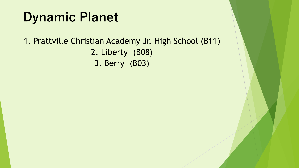## **Dynamic Planet**

#### 1. Prattville Christian Academy Jr. High School (B11) 2. Liberty (B08) 3. Berry (B03)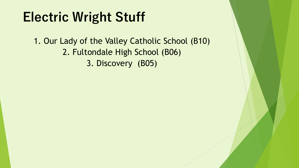## **Electric Wright Stuff**

1. Our Lady of the Valley Catholic School (B10) 2. Fultondale High School (B06) 3. Discovery (B05)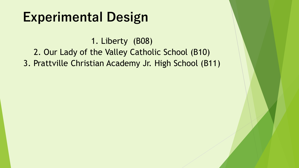## **Experimental Design**

1. Liberty (B08) 2. Our Lady of the Valley Catholic School (B10) 3. Prattville Christian Academy Jr. High School (B11)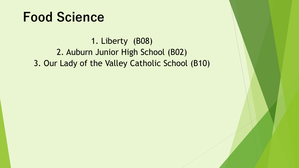#### **Food Science**

1. Liberty (B08) 2. Auburn Junior High School (B02) 3. Our Lady of the Valley Catholic School (B10)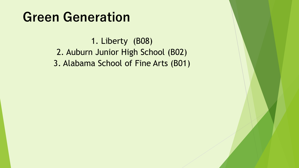#### **Green Generation**

1. Liberty (B08) 2. Auburn Junior High School (B02) 3. Alabama School of Fine Arts (B01)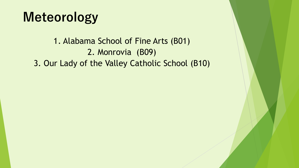#### **Meteorology**

1. Alabama School of Fine Arts (B01) 2. Monrovia (B09) 3. Our Lady of the Valley Catholic School (B10)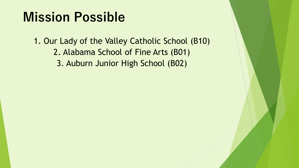#### **Mission Possible**

1. Our Lady of the Valley Catholic School (B10) 2. Alabama School of Fine Arts (B01) 3. Auburn Junior High School (B02)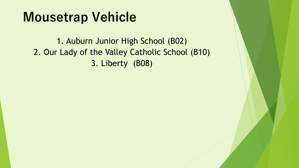#### **Mousetrap Vehicle**

1. Auburn Junior High School (B02) 2. Our Lady of the Valley Catholic School (B10) 3. Liberty (B08)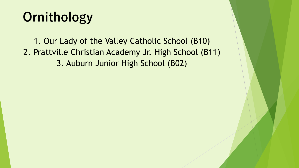# **Ornithology**

1. Our Lady of the Valley Catholic School (B10) 2. Prattville Christian Academy Jr. High School (B11) 3. Auburn Junior High School (B02)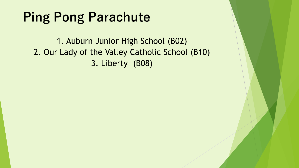## **Ping Pong Parachute**

1. Auburn Junior High School (B02) 2. Our Lady of the Valley Catholic School (B10) 3. Liberty (B08)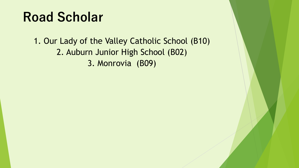## **Road Scholar**

1. Our Lady of the Valley Catholic School (B10) 2. Auburn Junior High School (B02) 3. Monrovia (B09)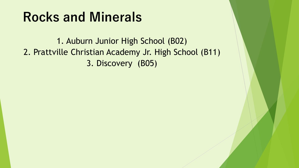#### **Rocks and Minerals**

1. Auburn Junior High School (B02) 2. Prattville Christian Academy Jr. High School (B11) 3. Discovery (B05)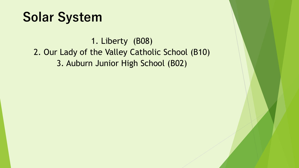#### **Solar System**

1. Liberty (B08) 2. Our Lady of the Valley Catholic School (B10) 3. Auburn Junior High School (B02)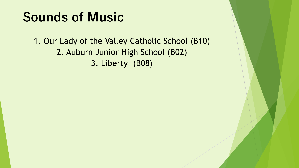## **Sounds of Music**

1. Our Lady of the Valley Catholic School (B10) 2. Auburn Junior High School (B02) 3. Liberty (B08)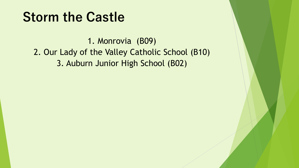#### **Storm the Castle**

1. Monrovia (B09) 2. Our Lady of the Valley Catholic School (B10) 3. Auburn Junior High School (B02)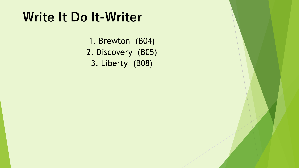#### **Write It Do It-Writer**

1. Brewton (B04) 2. Discovery (B05) 3. Liberty (B08)